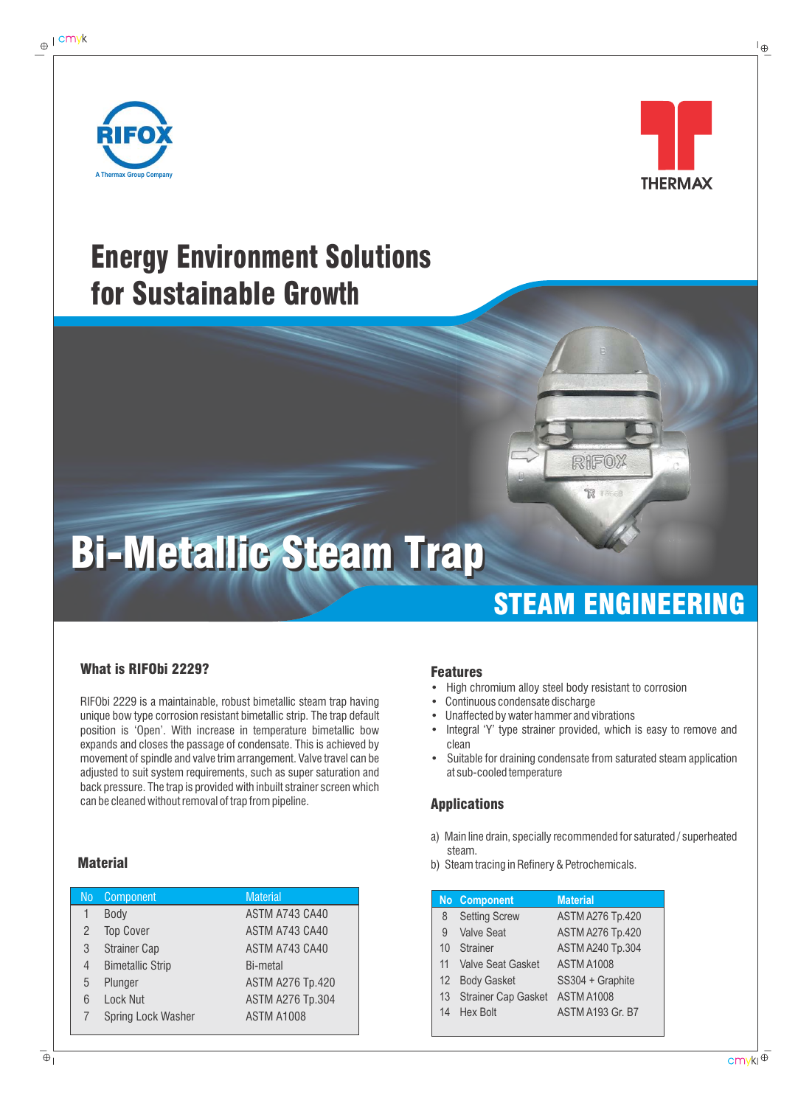



## Energy Environment Solutions for Sustainable Growth

# Bi-Metallic Steam Trap Bi-Metallic Steam Trap

### STEAM ENGINEERING

RIFOX

R

### What is RIFObi 2229?

RIFObi 2229 is a maintainable, robust bimetallic steam trap having unique bow type corrosion resistant bimetallic strip. The trap default position is 'Open'. With increase in temperature bimetallic bow expands and closes the passage of condensate. This is achieved by movement of spindle and valve trim arrangement. Valve travel can be adjusted to suit system requirements, such as super saturation and back pressure. The trap is provided with inbuilt strainer screen which can be cleaned without removal of trap from pipeline.

| No | Component               | <b>Material</b>         |
|----|-------------------------|-------------------------|
|    | Body                    | ASTM A743 CA40          |
| 2  | <b>Top Cover</b>        | ASTM A743 CA40          |
| 3  | <b>Strainer Cap</b>     | ASTM A743 CA40          |
| 4  | <b>Bimetallic Strip</b> | Bi-metal                |
| 5  | Plunger                 | <b>ASTM A276 Tp.420</b> |
| 6  | <b>Lock Nut</b>         | <b>ASTM A276 Tp.304</b> |
|    | Spring Lock Washer      | <b>ASTM A1008</b>       |
|    |                         |                         |

#### Features

- High chromium alloy steel body resistant to corrosion
- Continuous condensate discharge
- Unaffected by water hammer and vibrations
- Integral 'Y' type strainer provided, which is easy to remove and clean
- Suitable for draining condensate from saturated steam application at sub-cooled temperature

#### Applications

- a) Main line drain, specially recommended for saturated / superheated steam.
- **Material Contract and Steam tracing in Refinery & Petrochemicals.** Contract a policy of the by Steam tracing in Refinery & Petrochemicals.

|                      | <b>Material</b>                                                                                                               |
|----------------------|-------------------------------------------------------------------------------------------------------------------------------|
| <b>Setting Screw</b> | <b>ASTM A276 Tp.420</b>                                                                                                       |
|                      | <b>ASTM A276 Tp.420</b>                                                                                                       |
|                      | <b>ASTM A240 Tp.304</b>                                                                                                       |
|                      | <b>ASTM A1008</b>                                                                                                             |
|                      | SS304 + Graphite                                                                                                              |
|                      | <b>ASTM A1008</b>                                                                                                             |
|                      | <b>ASTM A193 Gr. B7</b>                                                                                                       |
|                      | No Component<br><b>Valve Seat</b><br>Strainer<br>11 Valve Seat Gasket<br>12 Body Gasket<br>13 Strainer Cap Gasket<br>Hex Bolt |